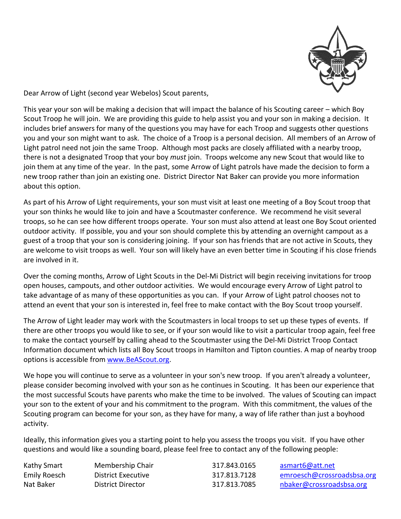

Dear Arrow of Light (second year Webelos) Scout parents,

This year your son will be making a decision that will impact the balance of his Scouting career – which Boy Scout Troop he will join. We are providing this guide to help assist you and your son in making a decision. It includes brief answers for many of the questions you may have for each Troop and suggests other questions you and your son might want to ask. The choice of a Troop is a personal decision. All members of an Arrow of Light patrol need not join the same Troop. Although most packs are closely affiliated with a nearby troop, there is not a designated Troop that your boy *must* join. Troops welcome any new Scout that would like to join them at any time of the year. In the past, some Arrow of Light patrols have made the decision to form a new troop rather than join an existing one. District Director Nat Baker can provide you more information about this option.

As part of his Arrow of Light requirements, your son must visit at least one meeting of a Boy Scout troop that your son thinks he would like to join and have a Scoutmaster conference. We recommend he visit several troops, so he can see how different troops operate. Your son must also attend at least one Boy Scout oriented outdoor activity. If possible, you and your son should complete this by attending an overnight campout as a guest of a troop that your son is considering joining. If your son has friends that are not active in Scouts, they are welcome to visit troops as well. Your son will likely have an even better time in Scouting if his close friends are involved in it.

Over the coming months, Arrow of Light Scouts in the Del-Mi District will begin receiving invitations for troop open houses, campouts, and other outdoor activities. We would encourage every Arrow of Light patrol to take advantage of as many of these opportunities as you can. If your Arrow of Light patrol chooses not to attend an event that your son is interested in, feel free to make contact with the Boy Scout troop yourself.

The Arrow of Light leader may work with the Scoutmasters in local troops to set up these types of events. If there are other troops you would like to see, or if your son would like to visit a particular troop again, feel free to make the contact yourself by calling ahead to the Scoutmaster using the Del-Mi District Troop Contact Information document which lists all Boy Scout troops in Hamilton and Tipton counties. A map of nearby troop options is accessible from [www.BeAScout.org.](http://www.beascout.org/)

We hope you will continue to serve as a volunteer in your son's new troop. If you aren't already a volunteer, please consider becoming involved with your son as he continues in Scouting. It has been our experience that the most successful Scouts have parents who make the time to be involved. The values of Scouting can impact your son to the extent of your and his commitment to the program. With this commitment, the values of the Scouting program can become for your son, as they have for many, a way of life rather than just a boyhood activity.

Ideally, this information gives you a starting point to help you assess the troops you visit. If you have other questions and would like a sounding board, please feel free to contact any of the following people:

Kathy Smart Membership Chair 1997 - 317.843.0165 asmart6@att.net Emily Roesch District Executive 317.813.7128 [emroesch@crossroadsbsa.org](mailto:emroesch@crossroadsbsa.org) Nat Baker **District Director** 317.813.7085 [nbaker@crossroadsbsa.org](mailto:nbaker@crossroadsbsa.org)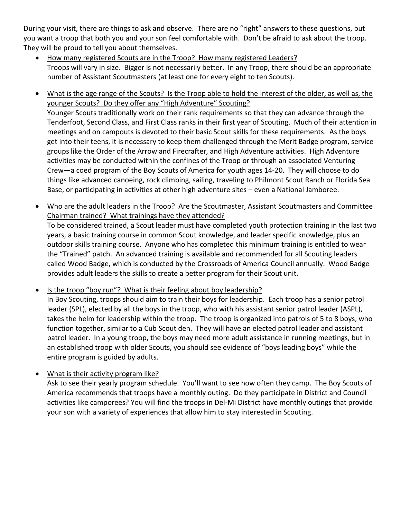During your visit, there are things to ask and observe. There are no "right" answers to these questions, but you want a troop that both you and your son feel comfortable with. Don't be afraid to ask about the troop. They will be proud to tell you about themselves.

- How many registered Scouts are in the Troop? How many registered Leaders? Troops will vary in size. Bigger is not necessarily better. In any Troop, there should be an appropriate number of Assistant Scoutmasters (at least one for every eight to ten Scouts).
- What is the age range of the Scouts? Is the Troop able to hold the interest of the older, as well as, the younger Scouts? Do they offer any "High Adventure" Scouting? Younger Scouts traditionally work on their rank requirements so that they can advance through the Tenderfoot, Second Class, and First Class ranks in their first year of Scouting. Much of their attention in meetings and on campouts is devoted to their basic Scout skills for these requirements. As the boys get into their teens, it is necessary to keep them challenged through the Merit Badge program, service groups like the Order of the Arrow and Firecrafter, and High Adventure activities. High Adventure activities may be conducted within the confines of the Troop or through an associated Venturing Crew—a coed program of the Boy Scouts of America for youth ages 14-20. They will choose to do things like advanced canoeing, rock climbing, sailing, traveling to Philmont Scout Ranch or Florida Sea Base, or participating in activities at other high adventure sites – even a National Jamboree.
- Who are the adult leaders in the Troop? Are the Scoutmaster, Assistant Scoutmasters and Committee Chairman trained? What trainings have they attended?

To be considered trained, a Scout leader must have completed youth protection training in the last two years, a basic training course in common Scout knowledge, and leader specific knowledge, plus an outdoor skills training course. Anyone who has completed this minimum training is entitled to wear the "Trained" patch. An advanced training is available and recommended for all Scouting leaders called Wood Badge, which is conducted by the Crossroads of America Council annually. Wood Badge provides adult leaders the skills to create a better program for their Scout unit.

 Is the troop "boy run"? What is their feeling about boy leadership? In Boy Scouting, troops should aim to train their boys for leadership. Each troop has a senior patrol leader (SPL), elected by all the boys in the troop, who with his assistant senior patrol leader (ASPL), takes the helm for leadership within the troop. The troop is organized into patrols of 5 to 8 boys, who function together, similar to a Cub Scout den. They will have an elected patrol leader and assistant patrol leader. In a young troop, the boys may need more adult assistance in running meetings, but in an established troop with older Scouts, you should see evidence of "boys leading boys" while the entire program is guided by adults.

 What is their activity program like? Ask to see their yearly program schedule. You'll want to see how often they camp. The Boy Scouts of America recommends that troops have a monthly outing. Do they participate in District and Council activities like camporees? You will find the troops in Del-Mi District have monthly outings that provide your son with a variety of experiences that allow him to stay interested in Scouting.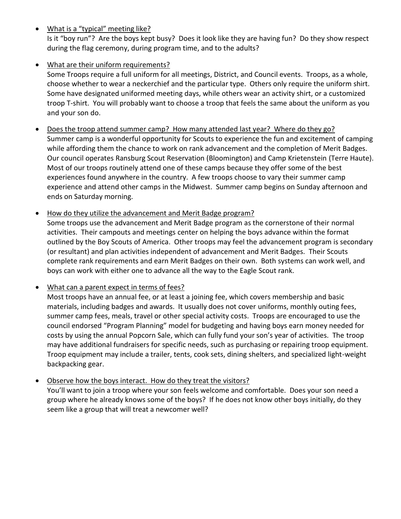What is a "typical" meeting like?

Is it "boy run"? Are the boys kept busy? Does it look like they are having fun? Do they show respect during the flag ceremony, during program time, and to the adults?

# What are their uniform requirements?

Some Troops require a full uniform for all meetings, District, and Council events. Troops, as a whole, choose whether to wear a neckerchief and the particular type. Others only require the uniform shirt. Some have designated uniformed meeting days, while others wear an activity shirt, or a customized troop T-shirt. You will probably want to choose a troop that feels the same about the uniform as you and your son do.

- Does the troop attend summer camp? How many attended last year? Where do they go? Summer camp is a wonderful opportunity for Scouts to experience the fun and excitement of camping while affording them the chance to work on rank advancement and the completion of Merit Badges. Our council operates Ransburg Scout Reservation (Bloomington) and Camp Krietenstein (Terre Haute). Most of our troops routinely attend one of these camps because they offer some of the best experiences found anywhere in the country. A few troops choose to vary their summer camp experience and attend other camps in the Midwest. Summer camp begins on Sunday afternoon and ends on Saturday morning.
- How do they utilize the advancement and Merit Badge program? Some troops use the advancement and Merit Badge program as the cornerstone of their normal activities. Their campouts and meetings center on helping the boys advance within the format outlined by the Boy Scouts of America. Other troops may feel the advancement program is secondary (or resultant) and plan activities independent of advancement and Merit Badges. Their Scouts complete rank requirements and earn Merit Badges on their own. Both systems can work well, and boys can work with either one to advance all the way to the Eagle Scout rank.

#### • What can a parent expect in terms of fees?

Most troops have an annual fee, or at least a joining fee, which covers membership and basic materials, including badges and awards. It usually does not cover uniforms, monthly outing fees, summer camp fees, meals, travel or other special activity costs. Troops are encouraged to use the council endorsed "Program Planning" model for budgeting and having boys earn money needed for costs by using the annual Popcorn Sale, which can fully fund your son's year of activities. The troop may have additional fundraisers for specific needs, such as purchasing or repairing troop equipment. Troop equipment may include a trailer, tents, cook sets, dining shelters, and specialized light-weight backpacking gear.

#### • Observe how the boys interact. How do they treat the visitors?

You'll want to join a troop where your son feels welcome and comfortable. Does your son need a group where he already knows some of the boys? If he does not know other boys initially, do they seem like a group that will treat a newcomer well?